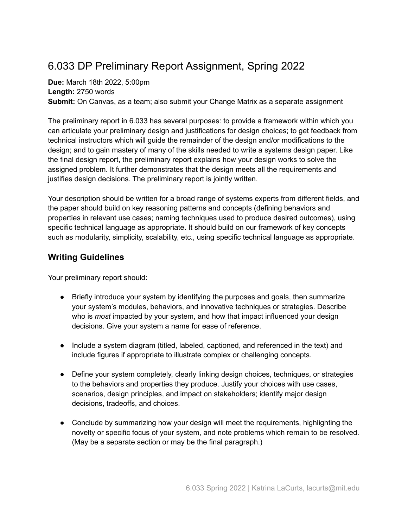## 6.033 DP Preliminary Report Assignment, Spring 2022

**Due:** March 18th 2022, 5:00pm **Length:** 2750 words **Submit:** On Canvas, as a team; also submit your Change Matrix as a separate assignment

The preliminary report in 6.033 has several purposes: to provide a framework within which you can articulate your preliminary design and justifications for design choices; to get feedback from technical instructors which will guide the remainder of the design and/or modifications to the design; and to gain mastery of many of the skills needed to write a systems design paper. Like the final design report, the preliminary report explains how your design works to solve the assigned problem. It further demonstrates that the design meets all the requirements and justifies design decisions. The preliminary report is jointly written.

Your description should be written for a broad range of systems experts from different fields, and the paper should build on key reasoning patterns and concepts (defining behaviors and properties in relevant use cases; naming techniques used to produce desired outcomes), using specific technical language as appropriate. It should build on our framework of key concepts such as modularity, simplicity, scalability, etc., using specific technical language as appropriate.

## **Writing Guidelines**

Your preliminary report should:

- Briefly introduce your system by identifying the purposes and goals, then summarize your system's modules, behaviors, and innovative techniques or strategies. Describe who is *most* impacted by your system, and how that impact influenced your design decisions. Give your system a name for ease of reference.
- Include a system diagram (titled, labeled, captioned, and referenced in the text) and include figures if appropriate to illustrate complex or challenging concepts.
- Define your system completely, clearly linking design choices, techniques, or strategies to the behaviors and properties they produce. Justify your choices with use cases, scenarios, design principles, and impact on stakeholders; identify major design decisions, tradeoffs, and choices.
- Conclude by summarizing how your design will meet the requirements, highlighting the novelty or specific focus of your system, and note problems which remain to be resolved. (May be a separate section or may be the final paragraph.)